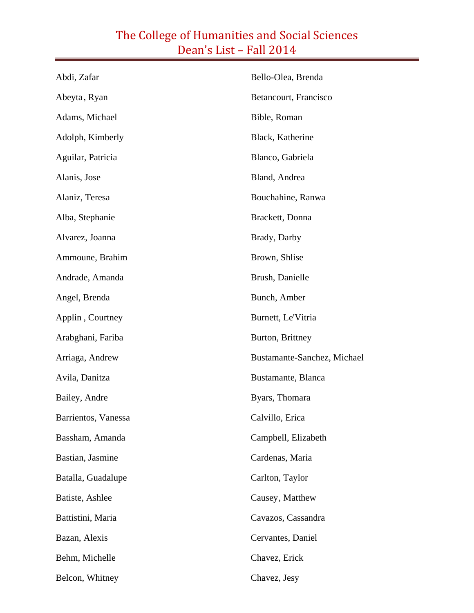| Abdi, Zafar         | Bello-Olea, Brenda          |
|---------------------|-----------------------------|
| Abeyta, Ryan        | Betancourt, Francisco       |
| Adams, Michael      | Bible, Roman                |
| Adolph, Kimberly    | Black, Katherine            |
| Aguilar, Patricia   | Blanco, Gabriela            |
| Alanis, Jose        | Bland, Andrea               |
| Alaniz, Teresa      | Bouchahine, Ranwa           |
| Alba, Stephanie     | Brackett, Donna             |
| Alvarez, Joanna     | Brady, Darby                |
| Ammoune, Brahim     | Brown, Shlise               |
| Andrade, Amanda     | Brush, Danielle             |
| Angel, Brenda       | Bunch, Amber                |
| Applin, Courtney    | Burnett, Le'Vitria          |
| Arabghani, Fariba   | Burton, Brittney            |
| Arriaga, Andrew     | Bustamante-Sanchez, Michael |
| Avila, Danitza      | Bustamante, Blanca          |
| Bailey, Andre       | Byars, Thomara              |
| Barrientos, Vanessa | Calvillo, Erica             |
| Bassham, Amanda     | Campbell, Elizabeth         |
| Bastian, Jasmine    | Cardenas, Maria             |
| Batalla, Guadalupe  | Carlton, Taylor             |
| Batiste, Ashlee     | Causey, Matthew             |
| Battistini, Maria   | Cavazos, Cassandra          |
| Bazan, Alexis       | Cervantes, Daniel           |
| Behm, Michelle      | Chavez, Erick               |
| Belcon, Whitney     | Chavez, Jesy                |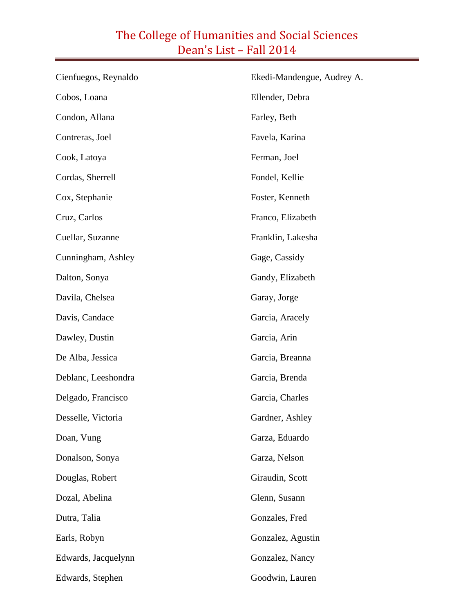| Cienfuegos, Reynaldo | Ekedi-Mandengue, Audrey A. |  |
|----------------------|----------------------------|--|
| Cobos, Loana         | Ellender, Debra            |  |
| Condon, Allana       | Farley, Beth               |  |
| Contreras, Joel      | Favela, Karina             |  |
| Cook, Latoya         | Ferman, Joel               |  |
| Cordas, Sherrell     | Fondel, Kellie             |  |
| Cox, Stephanie       | Foster, Kenneth            |  |
| Cruz, Carlos         | Franco, Elizabeth          |  |
| Cuellar, Suzanne     | Franklin, Lakesha          |  |
| Cunningham, Ashley   | Gage, Cassidy              |  |
| Dalton, Sonya        | Gandy, Elizabeth           |  |
| Davila, Chelsea      | Garay, Jorge               |  |
| Davis, Candace       | Garcia, Aracely            |  |
| Dawley, Dustin       | Garcia, Arin               |  |
| De Alba, Jessica     | Garcia, Breanna            |  |
| Deblanc, Leeshondra  | Garcia, Brenda             |  |
| Delgado, Francisco   | Garcia, Charles            |  |
| Desselle, Victoria   | Gardner, Ashley            |  |
| Doan, Vung           | Garza, Eduardo             |  |
| Donalson, Sonya      | Garza, Nelson              |  |
| Douglas, Robert      | Giraudin, Scott            |  |
| Dozal, Abelina       | Glenn, Susann              |  |
| Dutra, Talia         | Gonzales, Fred             |  |
| Earls, Robyn         | Gonzalez, Agustin          |  |
| Edwards, Jacquelynn  | Gonzalez, Nancy            |  |
| Edwards, Stephen     | Goodwin, Lauren            |  |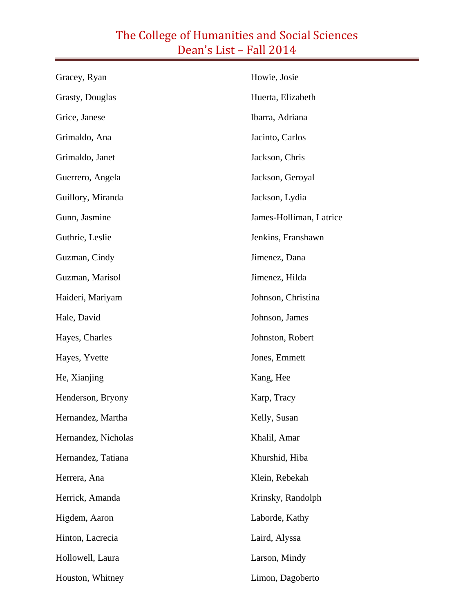| Gracey, Ryan        | Howie, Josie            |
|---------------------|-------------------------|
| Grasty, Douglas     | Huerta, Elizabeth       |
| Grice, Janese       | Ibarra, Adriana         |
| Grimaldo, Ana       | Jacinto, Carlos         |
| Grimaldo, Janet     | Jackson, Chris          |
| Guerrero, Angela    | Jackson, Geroyal        |
| Guillory, Miranda   | Jackson, Lydia          |
| Gunn, Jasmine       | James-Holliman, Latrice |
| Guthrie, Leslie     | Jenkins, Franshawn      |
| Guzman, Cindy       | Jimenez, Dana           |
| Guzman, Marisol     | Jimenez, Hilda          |
| Haideri, Mariyam    | Johnson, Christina      |
| Hale, David         | Johnson, James          |
| Hayes, Charles      | Johnston, Robert        |
| Hayes, Yvette       | Jones, Emmett           |
| He, Xianjing        | Kang, Hee               |
| Henderson, Bryony   | Karp, Tracy             |
| Hernandez, Martha   | Kelly, Susan            |
| Hernandez, Nicholas | Khalil, Amar            |
| Hernandez, Tatiana  | Khurshid, Hiba          |
| Herrera, Ana        | Klein, Rebekah          |
| Herrick, Amanda     | Krinsky, Randolph       |
| Higdem, Aaron       | Laborde, Kathy          |
| Hinton, Lacrecia    | Laird, Alyssa           |
| Hollowell, Laura    | Larson, Mindy           |
| Houston, Whitney    | Limon, Dagoberto        |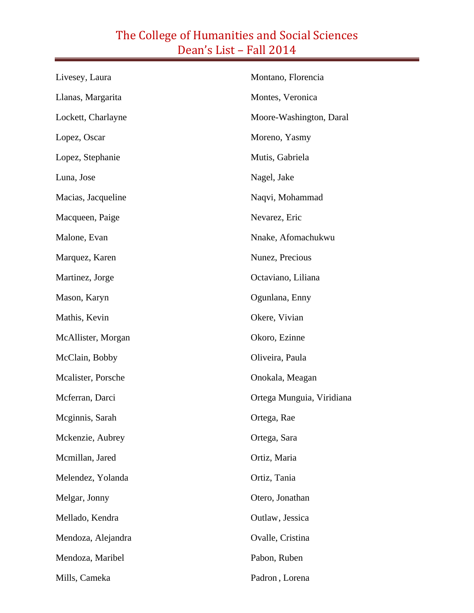| Livesey, Laura     | Montano, Florencia        |
|--------------------|---------------------------|
| Llanas, Margarita  | Montes, Veronica          |
| Lockett, Charlayne | Moore-Washington, Daral   |
| Lopez, Oscar       | Moreno, Yasmy             |
| Lopez, Stephanie   | Mutis, Gabriela           |
| Luna, Jose         | Nagel, Jake               |
| Macias, Jacqueline | Naqvi, Mohammad           |
| Macqueen, Paige    | Nevarez, Eric             |
| Malone, Evan       | Nnake, Afomachukwu        |
| Marquez, Karen     | Nunez, Precious           |
| Martinez, Jorge    | Octaviano, Liliana        |
| Mason, Karyn       | Ogunlana, Enny            |
| Mathis, Kevin      | Okere, Vivian             |
| McAllister, Morgan | Okoro, Ezinne             |
| McClain, Bobby     | Oliveira, Paula           |
| Mcalister, Porsche | Onokala, Meagan           |
| Mcferran, Darci    | Ortega Munguia, Viridiana |
| Meginnis, Sarah    | Ortega, Rae               |
| Mckenzie, Aubrey   | Ortega, Sara              |
| Mcmillan, Jared    | Ortiz, Maria              |
| Melendez, Yolanda  | Ortiz, Tania              |
| Melgar, Jonny      | Otero, Jonathan           |
| Mellado, Kendra    | Outlaw, Jessica           |
| Mendoza, Alejandra | Ovalle, Cristina          |
| Mendoza, Maribel   | Pabon, Ruben              |
| Mills, Cameka      | Padron, Lorena            |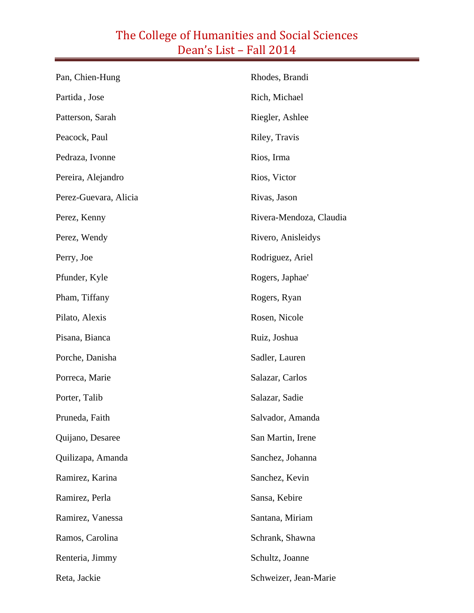| Pan, Chien-Hung       | Rhodes, Brandi          |
|-----------------------|-------------------------|
| Partida, Jose         | Rich, Michael           |
| Patterson, Sarah      | Riegler, Ashlee         |
| Peacock, Paul         | Riley, Travis           |
| Pedraza, Ivonne       | Rios, Irma              |
| Pereira, Alejandro    | Rios, Victor            |
| Perez-Guevara, Alicia | Rivas, Jason            |
| Perez, Kenny          | Rivera-Mendoza, Claudia |
| Perez, Wendy          | Rivero, Anisleidys      |
| Perry, Joe            | Rodriguez, Ariel        |
| Pfunder, Kyle         | Rogers, Japhae'         |
| Pham, Tiffany         | Rogers, Ryan            |
| Pilato, Alexis        | Rosen, Nicole           |
| Pisana, Bianca        | Ruiz, Joshua            |
| Porche, Danisha       | Sadler, Lauren          |
| Porreca, Marie        | Salazar, Carlos         |
| Porter, Talib         | Salazar, Sadie          |
| Pruneda, Faith        | Salvador, Amanda        |
| Quijano, Desaree      | San Martin, Irene       |
| Quilizapa, Amanda     | Sanchez, Johanna        |
| Ramirez, Karina       | Sanchez, Kevin          |
| Ramirez, Perla        | Sansa, Kebire           |
| Ramirez, Vanessa      | Santana, Miriam         |
| Ramos, Carolina       | Schrank, Shawna         |
| Renteria, Jimmy       | Schultz, Joanne         |
| Reta, Jackie          | Schweizer, Jean-Marie   |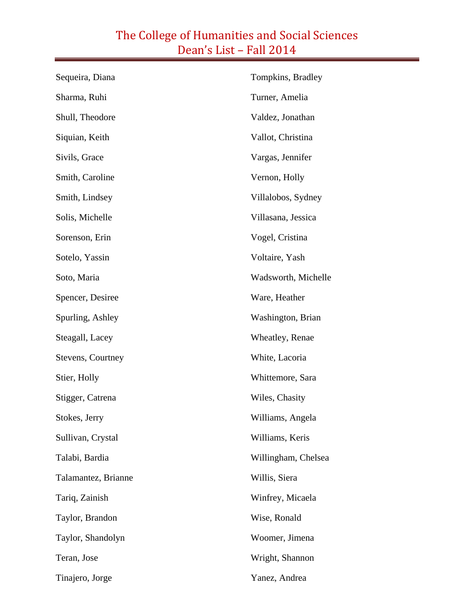| Sequeira, Diana     | Tompkins, Bradley   |
|---------------------|---------------------|
| Sharma, Ruhi        | Turner, Amelia      |
| Shull, Theodore     | Valdez, Jonathan    |
| Siquian, Keith      | Vallot, Christina   |
| Sivils, Grace       | Vargas, Jennifer    |
| Smith, Caroline     | Vernon, Holly       |
| Smith, Lindsey      | Villalobos, Sydney  |
| Solis, Michelle     | Villasana, Jessica  |
| Sorenson, Erin      | Vogel, Cristina     |
| Sotelo, Yassin      | Voltaire, Yash      |
| Soto, Maria         | Wadsworth, Michelle |
| Spencer, Desiree    | Ware, Heather       |
| Spurling, Ashley    | Washington, Brian   |
| Steagall, Lacey     | Wheatley, Renae     |
| Stevens, Courtney   | White, Lacoria      |
| Stier, Holly        | Whittemore, Sara    |
| Stigger, Catrena    | Wiles, Chasity      |
| Stokes, Jerry       | Williams, Angela    |
| Sullivan, Crystal   | Williams, Keris     |
| Talabi, Bardia      | Willingham, Chelsea |
| Talamantez, Brianne | Willis, Siera       |
| Tariq, Zainish      | Winfrey, Micaela    |
| Taylor, Brandon     | Wise, Ronald        |
| Taylor, Shandolyn   | Woomer, Jimena      |
| Teran, Jose         | Wright, Shannon     |
| Tinajero, Jorge     | Yanez, Andrea       |